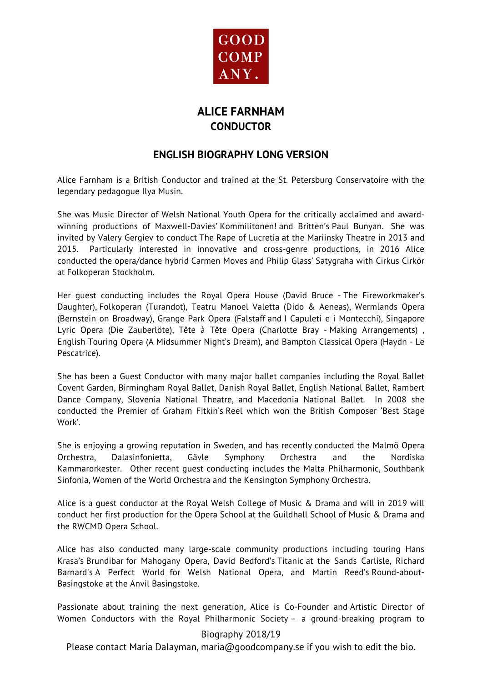

# **ALICE FARNHAM CONDUCTOR**

### **ENGLISH BIOGRAPHY LONG VERSION**

Alice Farnham is a British Conductor and trained at the St. Petersburg Conservatoire with the legendary pedagogue Ilya Musin.

She was Music Director of Welsh National Youth Opera for the critically acclaimed and awardwinning productions of Maxwell-Davies' Kommilitonen! and Britten's Paul Bunyan. She was invited by Valery Gergiev to conduct The Rape of Lucretia at the Mariinsky Theatre in 2013 and 2015. Particularly interested in innovative and cross-genre productions, in 2016 Alice conducted the opera/dance hybrid Carmen Moves and Philip Glass' Satygraha with Cirkus Cirkör at Folkoperan Stockholm.

Her guest conducting includes the Royal Opera House (David Bruce - The Fireworkmaker's Daughter), Folkoperan (Turandot), Teatru Manoel Valetta (Dido & Aeneas), Wermlands Opera (Bernstein on Broadway), Grange Park Opera (Falstaff and I Capuleti e i Montecchi), Singapore Lyric Opera (Die Zauberlöte), Tête à Tête Opera (Charlotte Bray - Making Arrangements) , English Touring Opera (A Midsummer Night's Dream), and Bampton Classical Opera (Haydn - Le Pescatrice).

She has been a Guest Conductor with many major ballet companies including the Royal Ballet Covent Garden, Birmingham Royal Ballet, Danish Royal Ballet, English National Ballet, Rambert Dance Company, Slovenia National Theatre, and Macedonia National Ballet. In 2008 she conducted the Premier of Graham Fitkin's Reel which won the British Composer 'Best Stage Work'.

She is enjoying a growing reputation in Sweden, and has recently conducted the Malmö Opera Orchestra, Dalasinfonietta, Gävle Symphony Orchestra and the Nordiska Kammarorkester. Other recent guest conducting includes the Malta Philharmonic, Southbank Sinfonia, Women of the World Orchestra and the Kensington Symphony Orchestra.

Alice is a guest conductor at the Royal Welsh College of Music & Drama and will in 2019 will conduct her first production for the Opera School at the Guildhall School of Music & Drama and the RWCMD Opera School.

Alice has also conducted many large-scale community productions including touring Hans Krasa's Brundibar for Mahogany Opera, David Bedford's Titanic at the Sands Carlisle, Richard Barnard's A Perfect World for Welsh National Opera, and Martin Reed's Round-about-Basingstoke at the Anvil Basingstoke.

Passionate about training the next generation, Alice is Co-Founder and Artistic Director of Women Conductors with the Royal Philharmonic Society – a ground-breaking program to

#### Biography 2018/19

Please contact Maria Dalayman, maria@goodcompany.se if you wish to edit the bio.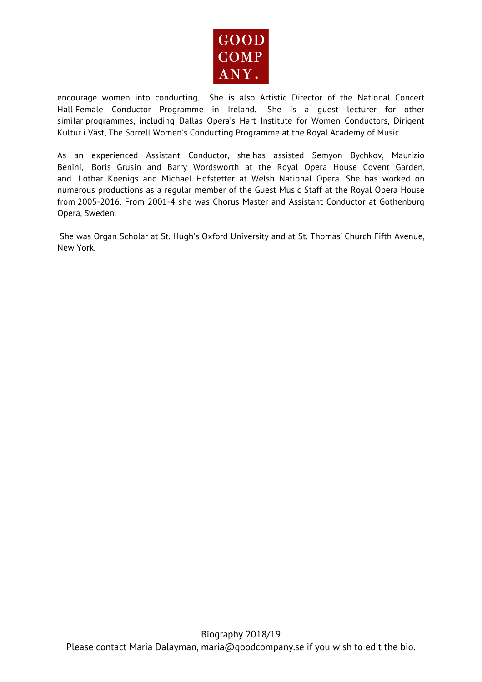

encourage women into conducting. She is also Artistic Director of the National Concert Hall Female Conductor Programme in Ireland. She is a guest lecturer for other similar programmes, including Dallas Opera's Hart Institute for Women Conductors, Dirigent Kultur i Väst, The Sorrell Women's Conducting Programme at the Royal Academy of Music.

As an experienced Assistant Conductor, she has assisted Semyon Bychkov, Maurizio Benini, Boris Grusin and Barry Wordsworth at the Royal Opera House Covent Garden, and Lothar Koenigs and Michael Hofstetter at Welsh National Opera. She has worked on numerous productions as a regular member of the Guest Music Staff at the Royal Opera House from 2005-2016. From 2001-4 she was Chorus Master and Assistant Conductor at Gothenburg Opera, Sweden.

She was Organ Scholar at St. Hugh's Oxford University and at St. Thomas' Church Fifth Avenue, New York.